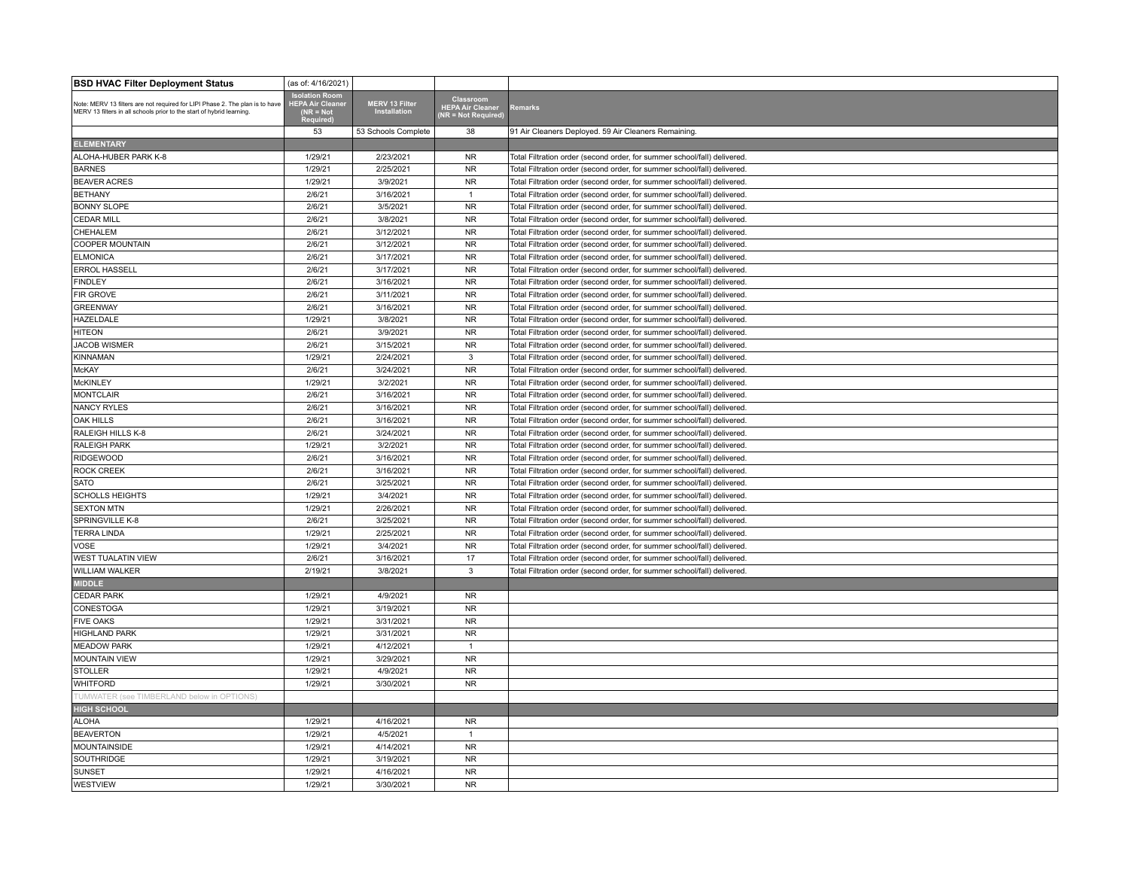| <b>BSD HVAC Filter Deployment Status</b>                                                                                                              | (as of: 4/16/2021)                                                               |                                       |                                                      |                                                                          |
|-------------------------------------------------------------------------------------------------------------------------------------------------------|----------------------------------------------------------------------------------|---------------------------------------|------------------------------------------------------|--------------------------------------------------------------------------|
| Note: MERV 13 filters are not required for LIPI Phase 2. The plan is to have<br>MERV 13 filters in all schools prior to the start of hybrid learning. | <b>Isolation Room</b><br><b>HEPA Air Cleane</b><br>$NR = Not$<br><b>Required</b> | <b>MERV 13 Filter</b><br>Installation | Classroom<br>HEPA Air Cleaner<br>(NR = Not Required) | <b>Remarks</b>                                                           |
|                                                                                                                                                       | 53                                                                               | 53 Schools Complete                   | 38                                                   | 91 Air Cleaners Deployed. 59 Air Cleaners Remaining                      |
| <b>ELEMENTARY</b>                                                                                                                                     |                                                                                  |                                       |                                                      |                                                                          |
| ALOHA-HUBER PARK K-8                                                                                                                                  | 1/29/21                                                                          | 2/23/2021                             | <b>NR</b>                                            | Total Filtration order (second order, for summer school/fall) delivered. |
| <b>BARNES</b>                                                                                                                                         | 1/29/21                                                                          | 2/25/2021                             | <b>NR</b>                                            | Total Filtration order (second order, for summer school/fall) delivered. |
| <b>BEAVER ACRES</b>                                                                                                                                   | 1/29/21                                                                          | 3/9/2021                              | <b>NR</b>                                            | Total Filtration order (second order, for summer school/fall) delivered. |
| <b>BETHANY</b>                                                                                                                                        | 2/6/21                                                                           | 3/16/2021                             | $\mathbf{1}$                                         | Total Filtration order (second order, for summer school/fall) delivered. |
| <b>BONNY SLOPE</b>                                                                                                                                    | 2/6/21                                                                           | 3/5/2021                              | <b>NR</b>                                            | Total Filtration order (second order, for summer school/fall) delivered. |
| <b>CEDAR MILL</b>                                                                                                                                     | 2/6/21                                                                           | 3/8/2021                              | <b>NR</b>                                            | Total Filtration order (second order, for summer school/fall) delivered. |
| <b>CHEHALEM</b>                                                                                                                                       | 2/6/21                                                                           | 3/12/2021                             | ${\sf NR}$                                           | Total Filtration order (second order, for summer school/fall) delivered. |
| <b>COOPER MOUNTAIN</b>                                                                                                                                | 2/6/21                                                                           | 3/12/2021                             | <b>NR</b>                                            | Total Filtration order (second order, for summer school/fall) delivered. |
| <b>ELMONICA</b>                                                                                                                                       | 2/6/21                                                                           | 3/17/2021                             | <b>NR</b>                                            | Total Filtration order (second order, for summer school/fall) delivered. |
| <b>ERROL HASSELL</b>                                                                                                                                  | 2/6/21                                                                           | 3/17/2021                             | <b>NR</b>                                            | Total Filtration order (second order, for summer school/fall) delivered. |
| <b>FINDLEY</b>                                                                                                                                        | 2/6/21                                                                           | 3/16/2021                             | ${\sf NR}$                                           | Total Filtration order (second order, for summer school/fall) delivered. |
| <b>FIR GROVE</b>                                                                                                                                      | 2/6/21                                                                           | 3/11/2021                             | <b>NR</b>                                            | Total Filtration order (second order, for summer school/fall) delivered. |
| <b>GREENWAY</b>                                                                                                                                       | 2/6/21                                                                           | 3/16/2021                             | <b>NR</b>                                            | Total Filtration order (second order, for summer school/fall) delivered. |
| <b>HAZELDALE</b>                                                                                                                                      | 1/29/21                                                                          | 3/8/2021                              | <b>NR</b>                                            | Total Filtration order (second order, for summer school/fall) delivered. |
| <b>HITEON</b>                                                                                                                                         | 2/6/21                                                                           | 3/9/2021                              | ${\sf NR}$                                           | Total Filtration order (second order, for summer school/fall) delivered. |
| <b>JACOB WISMER</b>                                                                                                                                   | 2/6/21                                                                           | 3/15/2021                             | <b>NR</b>                                            | Total Filtration order (second order, for summer school/fall) delivered. |
| KINNAMAN                                                                                                                                              | 1/29/21                                                                          | 2/24/2021                             | 3                                                    | Total Filtration order (second order, for summer school/fall) delivered. |
| <b>McKAY</b>                                                                                                                                          | 2/6/21                                                                           | 3/24/2021                             | <b>NR</b>                                            | Total Filtration order (second order, for summer school/fall) delivered. |
| <b>McKINLEY</b>                                                                                                                                       | 1/29/21                                                                          | 3/2/2021                              | ${\sf NR}$                                           | Total Filtration order (second order, for summer school/fall) delivered. |
| <b>MONTCLAIR</b>                                                                                                                                      | 2/6/21                                                                           | 3/16/2021                             | <b>NR</b>                                            | Total Filtration order (second order, for summer school/fall) delivered. |
| <b>NANCY RYLES</b>                                                                                                                                    | 2/6/21                                                                           | 3/16/2021                             | <b>NR</b>                                            | Total Filtration order (second order, for summer school/fall) delivered. |
| <b>OAK HILLS</b>                                                                                                                                      | 2/6/21                                                                           | 3/16/2021                             | <b>NR</b>                                            | Total Filtration order (second order, for summer school/fall) delivered. |
| RALEIGH HILLS K-8                                                                                                                                     | 2/6/21                                                                           | 3/24/2021                             | ${\sf NR}$                                           | Total Filtration order (second order, for summer school/fall) delivered. |
| <b>RALEIGH PARK</b>                                                                                                                                   | 1/29/21                                                                          | 3/2/2021                              | <b>NR</b>                                            | Total Filtration order (second order, for summer school/fall) delivered. |
| RIDGEWOOD                                                                                                                                             | 2/6/21                                                                           | 3/16/2021                             | <b>NR</b>                                            | Total Filtration order (second order, for summer school/fall) delivered. |
| <b>ROCK CREEK</b>                                                                                                                                     | 2/6/21                                                                           | 3/16/2021                             | <b>NR</b>                                            | Total Filtration order (second order, for summer school/fall) delivered. |
| <b>SATO</b>                                                                                                                                           | 2/6/21                                                                           | 3/25/2021                             | ${\sf NR}$                                           | Total Filtration order (second order, for summer school/fall) delivered. |
| <b>SCHOLLS HEIGHTS</b>                                                                                                                                | 1/29/21                                                                          | 3/4/2021                              | <b>NR</b>                                            | Total Filtration order (second order, for summer school/fall) delivered. |
| <b>SEXTON MTN</b>                                                                                                                                     | 1/29/21                                                                          | 2/26/2021                             | <b>NR</b>                                            | Total Filtration order (second order, for summer school/fall) delivered. |
| SPRINGVILLE K-8                                                                                                                                       | 2/6/21                                                                           | 3/25/2021                             | <b>NR</b>                                            | Total Filtration order (second order, for summer school/fall) delivered. |
| <b>TERRA LINDA</b>                                                                                                                                    | 1/29/21                                                                          | 2/25/2021                             | ${\sf NR}$                                           | Total Filtration order (second order, for summer school/fall) delivered. |
| <b>VOSE</b>                                                                                                                                           | 1/29/21                                                                          | 3/4/2021                              | <b>NR</b>                                            | Total Filtration order (second order, for summer school/fall) delivered. |
| <b>WEST TUALATIN VIEW</b>                                                                                                                             | 2/6/21                                                                           | 3/16/2021                             | 17                                                   | Total Filtration order (second order, for summer school/fall) delivered. |
| <b>WILLIAM WALKER</b>                                                                                                                                 | 2/19/21                                                                          | 3/8/2021                              | 3                                                    | Total Filtration order (second order, for summer school/fall) delivered  |
| <b>MIDDLE</b>                                                                                                                                         |                                                                                  |                                       |                                                      |                                                                          |
| <b>CEDAR PARK</b>                                                                                                                                     | 1/29/21                                                                          | 4/9/2021                              | <b>NR</b>                                            |                                                                          |
| <b>CONESTOGA</b>                                                                                                                                      | 1/29/21                                                                          | 3/19/2021                             | <b>NR</b>                                            |                                                                          |
| <b>FIVE OAKS</b>                                                                                                                                      | 1/29/21                                                                          | 3/31/2021                             | <b>NR</b>                                            |                                                                          |
| <b>HIGHLAND PARK</b>                                                                                                                                  | 1/29/21                                                                          | 3/31/2021                             | ${\sf NR}$                                           |                                                                          |
| <b>MEADOW PARK</b>                                                                                                                                    | 1/29/21                                                                          | 4/12/2021                             | $\overline{1}$                                       |                                                                          |
| <b>MOUNTAIN VIEW</b>                                                                                                                                  | 1/29/21                                                                          | 3/29/2021                             | <b>NR</b>                                            |                                                                          |
| <b>STOLLER</b>                                                                                                                                        | 1/29/21                                                                          | 4/9/2021                              | <b>NR</b>                                            |                                                                          |
| <b>WHITFORD</b>                                                                                                                                       | 1/29/21                                                                          | 3/30/2021                             | <b>NR</b>                                            |                                                                          |
| UMWATER (see TIMBERLAND below in OPTIONS                                                                                                              |                                                                                  |                                       |                                                      |                                                                          |
| <b>HIGH SCHOOL</b>                                                                                                                                    |                                                                                  |                                       |                                                      |                                                                          |
| <b>ALOHA</b>                                                                                                                                          | 1/29/21                                                                          | 4/16/2021                             | <b>NR</b>                                            |                                                                          |
| <b>BEAVERTON</b>                                                                                                                                      | 1/29/21                                                                          | 4/5/2021                              | $\overline{1}$                                       |                                                                          |
| <b>MOUNTAINSIDE</b>                                                                                                                                   | 1/29/21                                                                          | 4/14/2021                             | <b>NR</b>                                            |                                                                          |
| <b>SOUTHRIDGE</b>                                                                                                                                     | 1/29/21                                                                          | 3/19/2021                             | <b>NR</b>                                            |                                                                          |
| <b>SUNSET</b>                                                                                                                                         | 1/29/21                                                                          | 4/16/2021                             | <b>NR</b>                                            |                                                                          |
| <b>WESTVIEW</b>                                                                                                                                       | 1/29/21                                                                          | 3/30/2021                             | <b>NR</b>                                            |                                                                          |